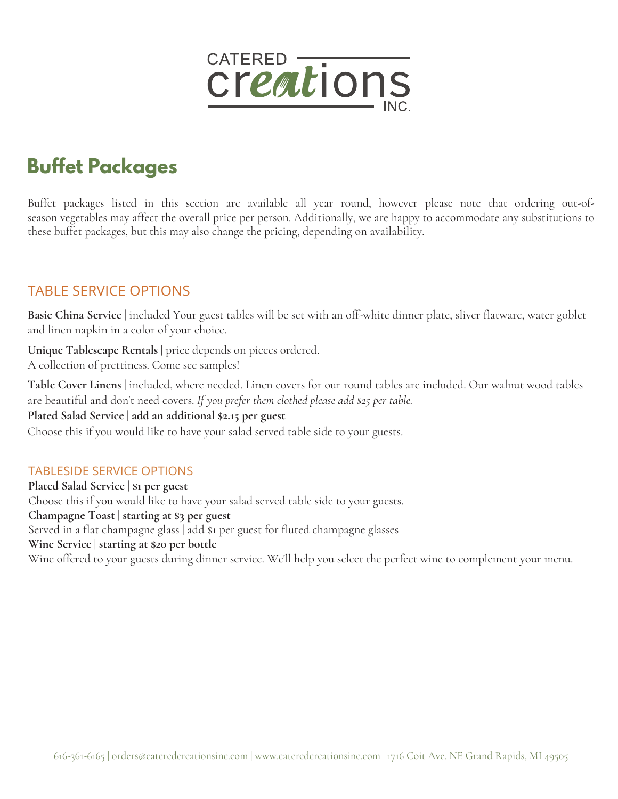

# **Buffet Packages**

Buffet packages listed in this section are available all year round, however please note that ordering out-ofseason vegetables may affect the overall price per person. Additionally, we are happy to accommodate any substitutions to these buffet packages, but this may also change the pricing, depending on availability.

#### TABLE SERVICE OPTIONS

Basic China Service | included Your guest tables will be set with an off-white dinner plate, sliver flatware, water goblet and linen napkin in a color of your choice.

**Unique Tablescape Rentals |** price depends on pieces ordered. A collection of prettiness. Come see samples!

**Table Cover Linens** | included, where needed. Linen covers for our round tables are included. Our walnut wood tables are beautiful and don't need covers. *If you prefer them clothed please add \$25 per table.*

#### **Plated Salad Service | add an additional \$2.15 per guest**

Choose this if you would like to have your salad served table side to your guests.

#### TABLESIDE SERVICE OPTIONS

**Plated Salad Service | \$1 per guest** Choose this if you would like to have your salad served table side to your guests. **Champagne Toast | starting at \$3 per guest** Served in a flat champagne glass | add \$1 per guest for fluted champagne glasses **Wine Service | starting at \$20 per bottle** Wine offered to your guests during dinner service. We'll help you select the perfect wine to complement your menu.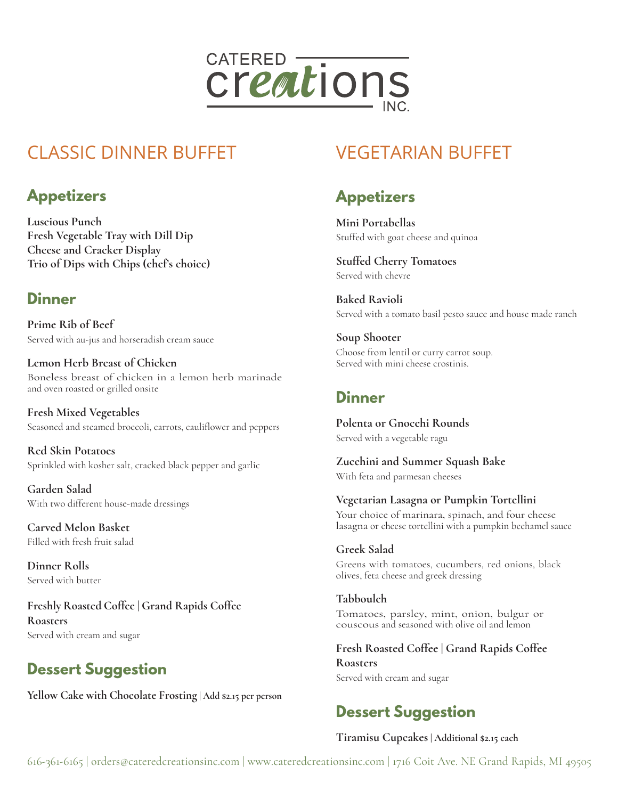

# CLASSIC DINNER BUFFET

## **Appetizers**

**Luscious Punch Fresh Vegetable Tray with Dill Dip Cheese and Cracker Display Trio of Dips with Chips (chef's choice)**

### **Dinner**

**Prime Rib of Beef** Served with au-jus and horseradish cream sauce

**Lemon Herb Breast of Chicken** Boneless breast of chicken in a lemon herb marinade and oven roasted or grilled onsite

**Fresh Mixed Vegetables** Seasoned and steamed broccoli, carrots, cauliflower and peppers

**Red Skin Potatoes** Sprinkled with kosher salt, cracked black pepper and garlic

**Garden Salad** With two different house-made dressings

**Carved Melon Basket** Filled with fresh fruit salad

**Dinner Rolls** Served with butter

**Freshly Roasted Coffee | Grand Rapids Coffee Roasters** Served with cream and sugar

# **Dessert Suggestion**

**Yellow Cake with Chocolate Frosting | Add \$2.15 per person**

# VEGETARIAN BUFFET

## **Appetizers**

**Mini Portabellas** Stuffed with goat cheese and quinoa

**Stuffed Cherry Tomatoes** Served with chevre

**Baked Ravioli** Served with a tomato basil pesto sauce and house made ranch

**Soup Shooter** Choose from lentil or curry carrot soup. Served with mini cheese crostinis.

#### **Dinner**

**Polenta or Gnocchi Rounds** Served with a vegetable ragu

**Zucchini and Summer Squash Bake** With feta and parmesan cheeses

**Vegetarian Lasagna or Pumpkin Tortellini** Your choice of marinara, spinach, and four cheese lasagna or cheese tortellini with a pumpkin bechamel sauce

**Greek Salad** Greens with tomatoes, cucumbers, red onions, black olives, feta cheese and greek dressing

**Tabbouleh** Tomatoes, parsley, mint, onion, bulgur or couscous and seasoned with olive oil and lemon

**Fresh Roasted Coffee | Grand Rapids Coffee Roasters** Served with cream and sugar

# **Dessert Suggestion**

#### **Tiramisu Cupcakes | Additional \$2.15 each**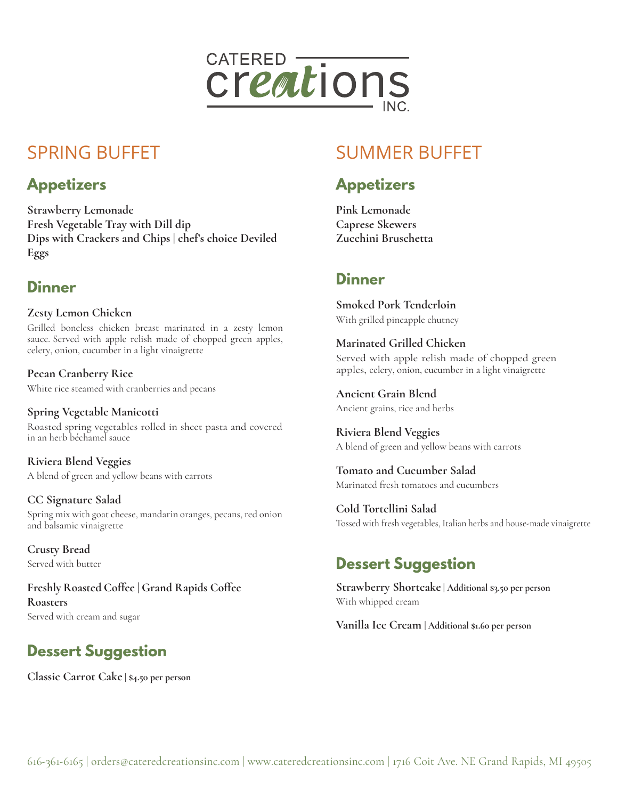

# SPRING BUFFET

### **Appetizers**

**Strawberry Lemonade Fresh Vegetable Tray with Dill dip Dips with Crackers and Chips | chef's choice Deviled Eggs**

### **Dinner**

**Zesty Lemon Chicken** Grilled boneless chicken breast marinated in a zesty lemon sauce. Served with apple relish made of chopped green apples, celery, onion, cucumber in a light vinaigrette

**Pecan Cranberry Rice** White rice steamed with cranberries and pecans

**Spring Vegetable Manicotti** Roasted spring vegetables rolled in sheet pasta and covered in an herb béchamel sauce

**Riviera Blend Veggies** A blend of green and yellow beans with carrots

**CC Signature Salad** Spring mix with goat cheese, mandarin oranges, pecans, red onion and balsamic vinaigrette

**Crusty Bread** Served with butter

**Freshly Roasted Coffee | Grand Rapids Coffee Roasters** Served with cream and sugar

# **Dessert Suggestion**

**Classic Carrot Cake | \$4.50 per person**

# SUMMER BUFFET

## **Appetizers**

**Pink Lemonade Caprese Skewers Zucchini Bruschetta**

### **Dinner**

**Smoked Pork Tenderloin** With grilled pineapple chutney

**Marinated Grilled Chicken** Served with apple relish made of chopped green apples, celery, onion, cucumber in a light vinaigrette

**Ancient Grain Blend** Ancient grains, rice and herbs

**Riviera Blend Veggies** A blend of green and yellow beans with carrots

**Tomato and Cucumber Salad** Marinated fresh tomatoes and cucumbers

**Cold Tortellini Salad** Tossed with fresh vegetables, Italian herbs and house-made vinaigrette

## **Dessert Suggestion**

**Strawberry Shortcake | Additional \$3.50 per person** With whipped cream

**Vanilla Ice Cream | Additional \$1.60 per person**